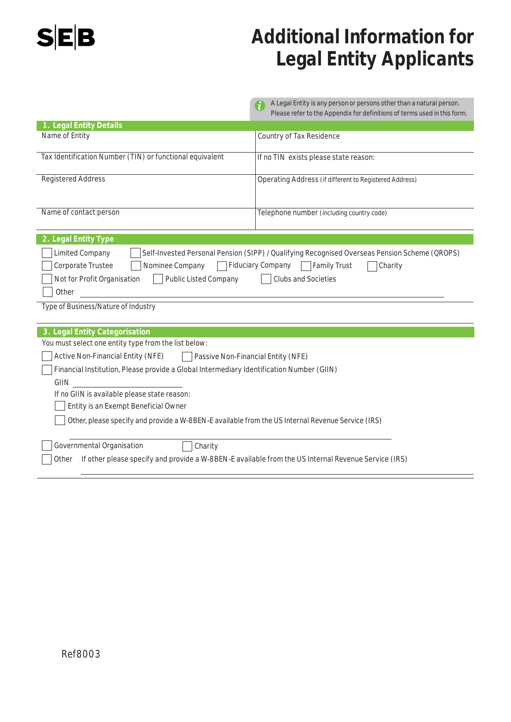

# **Additional Information for Legal Entity Applicants**

|                                                                                                                                                                                                                                                                                                             | A Legal Entity is any person or persons other than a natural person.<br>6<br>Please refer to the Appendix for definitions of terms used in this form. |  |  |  |  |
|-------------------------------------------------------------------------------------------------------------------------------------------------------------------------------------------------------------------------------------------------------------------------------------------------------------|-------------------------------------------------------------------------------------------------------------------------------------------------------|--|--|--|--|
| 1. Legal Entity Details                                                                                                                                                                                                                                                                                     |                                                                                                                                                       |  |  |  |  |
| Name of Entity                                                                                                                                                                                                                                                                                              | Country of Tax Residence                                                                                                                              |  |  |  |  |
| Tax Identification Number (TIN) or functional equivalent                                                                                                                                                                                                                                                    | If no TIN exists please state reason:                                                                                                                 |  |  |  |  |
| <b>Registered Address</b>                                                                                                                                                                                                                                                                                   | Operating Address (if different to Registered Address)                                                                                                |  |  |  |  |
| Name of contact person                                                                                                                                                                                                                                                                                      | Telephone number (including country code)                                                                                                             |  |  |  |  |
| 2. Legal Entity Type                                                                                                                                                                                                                                                                                        |                                                                                                                                                       |  |  |  |  |
| Self-Invested Personal Pension (SIPP) / Qualifying Recognised Overseas Pension Scheme (QROPS)<br><b>Limited Company</b><br>Fiduciary Company Family Trust<br>Corporate Trustee<br>Nominee Company<br>Charity<br>Not for Profit Organisation<br><b>Public Listed Company</b><br>Clubs and Societies<br>Other |                                                                                                                                                       |  |  |  |  |
| Type of Business/Nature of Industry                                                                                                                                                                                                                                                                         |                                                                                                                                                       |  |  |  |  |
| 3. Legal Entity Categorisation                                                                                                                                                                                                                                                                              |                                                                                                                                                       |  |  |  |  |
| You must select one entity type from the list below:                                                                                                                                                                                                                                                        |                                                                                                                                                       |  |  |  |  |
| <b>Active Non-Financial Entity (NFE)</b><br>Passive Non-Financial Entity (NFE)                                                                                                                                                                                                                              |                                                                                                                                                       |  |  |  |  |
| Financial Institution, Please provide a Global Intermediary Identification Number (GIIN)                                                                                                                                                                                                                    |                                                                                                                                                       |  |  |  |  |
| GIIN                                                                                                                                                                                                                                                                                                        |                                                                                                                                                       |  |  |  |  |
| If no GIIN is available please state reason:                                                                                                                                                                                                                                                                |                                                                                                                                                       |  |  |  |  |
| Entity is an Exempt Beneficial Owner                                                                                                                                                                                                                                                                        |                                                                                                                                                       |  |  |  |  |
| Other, please specify and provide a W-8BEN-E available from the US Internal Revenue Service (IRS)                                                                                                                                                                                                           |                                                                                                                                                       |  |  |  |  |
| Governmental Organisation<br>Charity                                                                                                                                                                                                                                                                        |                                                                                                                                                       |  |  |  |  |
| If other please specify and provide a W-8BEN-E available from the US Internal Revenue Service (IRS)<br>Other                                                                                                                                                                                                |                                                                                                                                                       |  |  |  |  |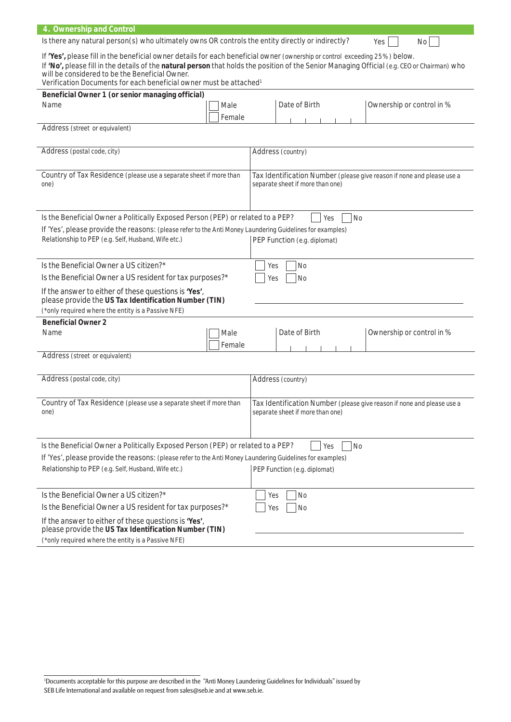| 4. Ownership and Control                                                                                                                                                                                                                                                                                                                                                                                        |                                                  |                                                                                                            |                                                                                                            |  |     |                           |  |  |
|-----------------------------------------------------------------------------------------------------------------------------------------------------------------------------------------------------------------------------------------------------------------------------------------------------------------------------------------------------------------------------------------------------------------|--------------------------------------------------|------------------------------------------------------------------------------------------------------------|------------------------------------------------------------------------------------------------------------|--|-----|---------------------------|--|--|
| Is there any natural person(s) who ultimately owns OR controls the entity directly or indirectly?                                                                                                                                                                                                                                                                                                               |                                                  |                                                                                                            |                                                                                                            |  |     | Yes<br>No                 |  |  |
| If 'Yes', please fill in the beneficial owner details for each beneficial owner (ownership or control exceeding 25%) below.<br>If 'No', please fill in the details of the natural person that holds the position of the Senior Managing Official (e.g. CEO or Chairman) who<br>will be considered to be the Beneficial Owner.<br>Verification Documents for each beneficial owner must be attached <sup>1</sup> |                                                  |                                                                                                            |                                                                                                            |  |     |                           |  |  |
|                                                                                                                                                                                                                                                                                                                                                                                                                 | Beneficial Owner 1 (or senior managing official) |                                                                                                            |                                                                                                            |  |     |                           |  |  |
| Name                                                                                                                                                                                                                                                                                                                                                                                                            | Male<br>Female                                   |                                                                                                            | Date of Birth                                                                                              |  |     | Ownership or control in % |  |  |
| Address (street or equivalent)                                                                                                                                                                                                                                                                                                                                                                                  |                                                  |                                                                                                            |                                                                                                            |  |     |                           |  |  |
|                                                                                                                                                                                                                                                                                                                                                                                                                 |                                                  |                                                                                                            |                                                                                                            |  |     |                           |  |  |
| Address (postal code, city)                                                                                                                                                                                                                                                                                                                                                                                     |                                                  |                                                                                                            | Address (country)                                                                                          |  |     |                           |  |  |
| Country of Tax Residence (please use a separate sheet if more than<br>one)                                                                                                                                                                                                                                                                                                                                      |                                                  |                                                                                                            | Tax Identification Number (please give reason if none and please use a<br>separate sheet if more than one) |  |     |                           |  |  |
| Is the Beneficial Owner a Politically Exposed Person (PEP) or related to a PEP?                                                                                                                                                                                                                                                                                                                                 |                                                  |                                                                                                            |                                                                                                            |  | Yes | No                        |  |  |
| If 'Yes', please provide the reasons: (please refer to the Anti Money Laundering Guidelines for examples)<br>Relationship to PEP (e.g. Self, Husband, Wife etc.)                                                                                                                                                                                                                                                |                                                  |                                                                                                            | PEP Function (e.g. diplomat)                                                                               |  |     |                           |  |  |
| Is the Beneficial Owner a US citizen?*                                                                                                                                                                                                                                                                                                                                                                          |                                                  | Yes                                                                                                        | <b>No</b>                                                                                                  |  |     |                           |  |  |
| Is the Beneficial Owner a US resident for tax purposes?*                                                                                                                                                                                                                                                                                                                                                        |                                                  |                                                                                                            | <b>No</b><br>Yes                                                                                           |  |     |                           |  |  |
| If the answer to either of these questions is 'Yes',<br>please provide the US Tax Identification Number (TIN)                                                                                                                                                                                                                                                                                                   |                                                  |                                                                                                            |                                                                                                            |  |     |                           |  |  |
| (*only required where the entity is a Passive NFE)                                                                                                                                                                                                                                                                                                                                                              |                                                  |                                                                                                            |                                                                                                            |  |     |                           |  |  |
| <b>Beneficial Owner 2</b>                                                                                                                                                                                                                                                                                                                                                                                       |                                                  |                                                                                                            |                                                                                                            |  |     |                           |  |  |
| Name                                                                                                                                                                                                                                                                                                                                                                                                            | Male<br>Female                                   |                                                                                                            | Date of Birth                                                                                              |  |     | Ownership or control in % |  |  |
| Address (street or equivalent)                                                                                                                                                                                                                                                                                                                                                                                  |                                                  |                                                                                                            |                                                                                                            |  |     |                           |  |  |
| Address (postal code, city)                                                                                                                                                                                                                                                                                                                                                                                     |                                                  |                                                                                                            | Address (country)                                                                                          |  |     |                           |  |  |
| Country of Tax Residence (please use a separate sheet if more than<br>one)                                                                                                                                                                                                                                                                                                                                      |                                                  | Tax Identification Number (please give reason if none and please use a<br>separate sheet if more than one) |                                                                                                            |  |     |                           |  |  |
| Is the Beneficial Owner a Politically Exposed Person (PEP) or related to a PEP?<br><b>No</b><br>Yes                                                                                                                                                                                                                                                                                                             |                                                  |                                                                                                            |                                                                                                            |  |     |                           |  |  |

| If 'Yes', please provide the reasons: (please refer to the Anti Money Laundering Guidelines for examples)     |                              |  |  |  |  |
|---------------------------------------------------------------------------------------------------------------|------------------------------|--|--|--|--|
| Relationship to PEP (e.g. Self, Husband, Wife etc.)                                                           | PEP Function (e.g. diplomat) |  |  |  |  |
|                                                                                                               |                              |  |  |  |  |
| Is the Beneficial Owner a US citizen?*                                                                        | Yes<br>No                    |  |  |  |  |
| Is the Beneficial Owner a US resident for tax purposes?*                                                      | Yes<br><b>No</b>             |  |  |  |  |
| If the answer to either of these questions is 'Yes',<br>please provide the US Tax Identification Number (TIN) |                              |  |  |  |  |
| (*only required where the entity is a Passive NFE)                                                            |                              |  |  |  |  |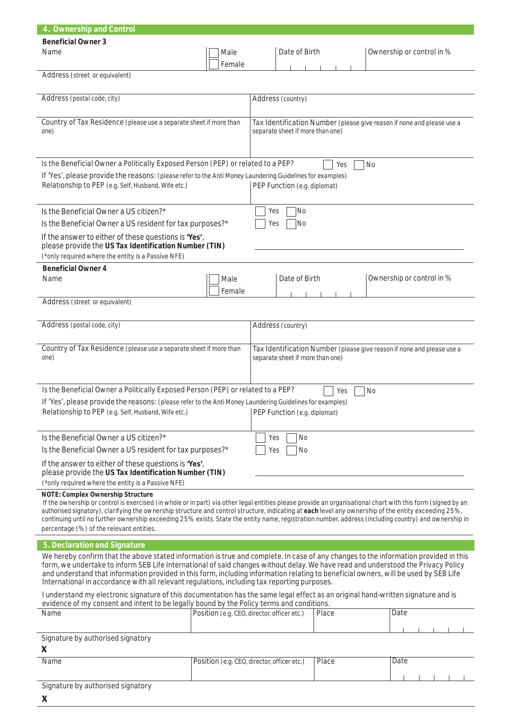| 4. Ownership and Control                                                                                                                                                                                                                                                                                                                                                                                                                                                                                                |                                                                                                                                                                                                                                                  |                                             |                                                                                                            |                                                                                                            |  |  |  |  |  |
|-------------------------------------------------------------------------------------------------------------------------------------------------------------------------------------------------------------------------------------------------------------------------------------------------------------------------------------------------------------------------------------------------------------------------------------------------------------------------------------------------------------------------|--------------------------------------------------------------------------------------------------------------------------------------------------------------------------------------------------------------------------------------------------|---------------------------------------------|------------------------------------------------------------------------------------------------------------|------------------------------------------------------------------------------------------------------------|--|--|--|--|--|
| <b>Beneficial Owner 3</b>                                                                                                                                                                                                                                                                                                                                                                                                                                                                                               |                                                                                                                                                                                                                                                  |                                             |                                                                                                            |                                                                                                            |  |  |  |  |  |
| Name                                                                                                                                                                                                                                                                                                                                                                                                                                                                                                                    | Male<br>Female                                                                                                                                                                                                                                   | Date of Birth                               |                                                                                                            | Ownership or control in %                                                                                  |  |  |  |  |  |
| Address (street or equivalent)                                                                                                                                                                                                                                                                                                                                                                                                                                                                                          |                                                                                                                                                                                                                                                  |                                             |                                                                                                            |                                                                                                            |  |  |  |  |  |
| Address (postal code, city)                                                                                                                                                                                                                                                                                                                                                                                                                                                                                             |                                                                                                                                                                                                                                                  |                                             |                                                                                                            |                                                                                                            |  |  |  |  |  |
| Country of Tax Residence (please use a separate sheet if more than<br>one)                                                                                                                                                                                                                                                                                                                                                                                                                                              |                                                                                                                                                                                                                                                  |                                             | Tax Identification Number (please give reason if none and please use a<br>separate sheet if more than one) |                                                                                                            |  |  |  |  |  |
|                                                                                                                                                                                                                                                                                                                                                                                                                                                                                                                         |                                                                                                                                                                                                                                                  |                                             |                                                                                                            |                                                                                                            |  |  |  |  |  |
| Relationship to PEP (e.g. Self, Husband, Wife etc.)                                                                                                                                                                                                                                                                                                                                                                                                                                                                     | Is the Beneficial Owner a Politically Exposed Person (PEP) or related to a PEP?<br>Yes<br><b>No</b><br>If 'Yes', please provide the reasons: (please refer to the Anti Money Laundering Guidelines for examples)<br>PEP Function (e.g. diplomat) |                                             |                                                                                                            |                                                                                                            |  |  |  |  |  |
| Is the Beneficial Owner a US citizen?*<br>Is the Beneficial Owner a US resident for tax purposes?*                                                                                                                                                                                                                                                                                                                                                                                                                      | No<br>Yes<br> No<br>Yes                                                                                                                                                                                                                          |                                             |                                                                                                            |                                                                                                            |  |  |  |  |  |
| If the answer to either of these questions is 'Yes',<br>please provide the US Tax Identification Number (TIN)<br>(*only required where the entity is a Passive NFE)                                                                                                                                                                                                                                                                                                                                                     |                                                                                                                                                                                                                                                  |                                             |                                                                                                            |                                                                                                            |  |  |  |  |  |
| <b>Beneficial Owner 4</b>                                                                                                                                                                                                                                                                                                                                                                                                                                                                                               |                                                                                                                                                                                                                                                  |                                             |                                                                                                            |                                                                                                            |  |  |  |  |  |
| Name                                                                                                                                                                                                                                                                                                                                                                                                                                                                                                                    | Male<br>Female                                                                                                                                                                                                                                   | Date of Birth                               |                                                                                                            | Ownership or control in %                                                                                  |  |  |  |  |  |
| Address (street or equivalent)                                                                                                                                                                                                                                                                                                                                                                                                                                                                                          |                                                                                                                                                                                                                                                  |                                             |                                                                                                            |                                                                                                            |  |  |  |  |  |
| Address (postal code, city)                                                                                                                                                                                                                                                                                                                                                                                                                                                                                             |                                                                                                                                                                                                                                                  | Address (country)                           |                                                                                                            |                                                                                                            |  |  |  |  |  |
| one)                                                                                                                                                                                                                                                                                                                                                                                                                                                                                                                    | Country of Tax Residence (please use a separate sheet if more than                                                                                                                                                                               |                                             |                                                                                                            | Tax Identification Number (please give reason if none and please use a<br>separate sheet if more than one) |  |  |  |  |  |
| Is the Beneficial Owner a Politically Exposed Person (PEP) or related to a PEP?<br>Yes<br><b>No</b><br>If 'Yes', please provide the reasons: (please refer to the Anti Money Laundering Guidelines for examples)<br>Relationship to PEP (e.g. Self, Husband, Wife etc.)<br>PEP Function (e.g. diplomat)                                                                                                                                                                                                                 |                                                                                                                                                                                                                                                  |                                             |                                                                                                            |                                                                                                            |  |  |  |  |  |
| Is the Beneficial Owner a US citizen?*<br>Is the Beneficial Owner a US resident for tax purposes?*                                                                                                                                                                                                                                                                                                                                                                                                                      | No<br>Yes<br>Yes<br><b>No</b>                                                                                                                                                                                                                    |                                             |                                                                                                            |                                                                                                            |  |  |  |  |  |
| If the answer to either of these questions is 'Yes',<br>please provide the US Tax Identification Number (TIN)                                                                                                                                                                                                                                                                                                                                                                                                           |                                                                                                                                                                                                                                                  |                                             |                                                                                                            |                                                                                                            |  |  |  |  |  |
| (*only required where the entity is a Passive NFE)<br>NOTE: Complex Ownership Structure                                                                                                                                                                                                                                                                                                                                                                                                                                 |                                                                                                                                                                                                                                                  |                                             |                                                                                                            |                                                                                                            |  |  |  |  |  |
| If the ownership or control is exercised (in whole or in part) via other legal entities please provide an organisational chart with this form (signed by an<br>authorised signatory), clarifying the ownership structure and control structure, indicating at each level any ownership of the entity exceeding 25%,<br>continuing until no further ownership exceeding 25% exists. State the entity name, registration number, address (including country) and ownership in<br>percentage (%) of the relevant entities. |                                                                                                                                                                                                                                                  |                                             |                                                                                                            |                                                                                                            |  |  |  |  |  |
| 5. Declaration and Signature                                                                                                                                                                                                                                                                                                                                                                                                                                                                                            |                                                                                                                                                                                                                                                  |                                             |                                                                                                            |                                                                                                            |  |  |  |  |  |
| We hereby confirm that the above stated information is true and complete. In case of any changes to the information provided in this<br>form, we undertake to inform SEB Life International of said changes without delay. We have read and understood the Privacy Policy<br>and understand that information provided in this form, including information relating to beneficial owners, will be used by SEB Life<br>International in accordance with all relevant regulations, including tax reporting purposes.       |                                                                                                                                                                                                                                                  |                                             |                                                                                                            |                                                                                                            |  |  |  |  |  |
| I understand my electronic signature of this documentation has the same legal effect as an original hand-written signature and is<br>evidence of my consent and intent to be legally bound by the Policy terms and conditions.                                                                                                                                                                                                                                                                                          |                                                                                                                                                                                                                                                  |                                             |                                                                                                            |                                                                                                            |  |  |  |  |  |
| Name                                                                                                                                                                                                                                                                                                                                                                                                                                                                                                                    |                                                                                                                                                                                                                                                  | Position (e.g. CEO, director, officer etc.) | Place                                                                                                      | Date                                                                                                       |  |  |  |  |  |
| Signature by authorised signatory<br>X                                                                                                                                                                                                                                                                                                                                                                                                                                                                                  |                                                                                                                                                                                                                                                  |                                             |                                                                                                            |                                                                                                            |  |  |  |  |  |
| Name                                                                                                                                                                                                                                                                                                                                                                                                                                                                                                                    |                                                                                                                                                                                                                                                  | Position (e.g. CEO, director, officer etc.) | Place                                                                                                      | Date                                                                                                       |  |  |  |  |  |

Signature by authorised signatory

**x**